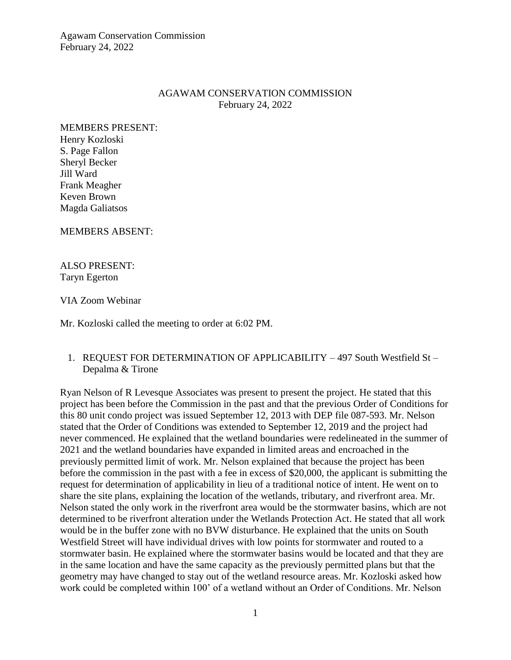Agawam Conservation Commission February 24, 2022

#### AGAWAM CONSERVATION COMMISSION February 24, 2022

MEMBERS PRESENT: Henry Kozloski S. Page Fallon Sheryl Becker Jill Ward Frank Meagher Keven Brown Magda Galiatsos

MEMBERS ABSENT:

ALSO PRESENT: Taryn Egerton

VIA Zoom Webinar

Mr. Kozloski called the meeting to order at 6:02 PM.

#### 1. REQUEST FOR DETERMINATION OF APPLICABILITY – 497 South Westfield St – Depalma & Tirone

Ryan Nelson of R Levesque Associates was present to present the project. He stated that this project has been before the Commission in the past and that the previous Order of Conditions for this 80 unit condo project was issued September 12, 2013 with DEP file 087-593. Mr. Nelson stated that the Order of Conditions was extended to September 12, 2019 and the project had never commenced. He explained that the wetland boundaries were redelineated in the summer of 2021 and the wetland boundaries have expanded in limited areas and encroached in the previously permitted limit of work. Mr. Nelson explained that because the project has been before the commission in the past with a fee in excess of \$20,000, the applicant is submitting the request for determination of applicability in lieu of a traditional notice of intent. He went on to share the site plans, explaining the location of the wetlands, tributary, and riverfront area. Mr. Nelson stated the only work in the riverfront area would be the stormwater basins, which are not determined to be riverfront alteration under the Wetlands Protection Act. He stated that all work would be in the buffer zone with no BVW disturbance. He explained that the units on South Westfield Street will have individual drives with low points for stormwater and routed to a stormwater basin. He explained where the stormwater basins would be located and that they are in the same location and have the same capacity as the previously permitted plans but that the geometry may have changed to stay out of the wetland resource areas. Mr. Kozloski asked how work could be completed within 100' of a wetland without an Order of Conditions. Mr. Nelson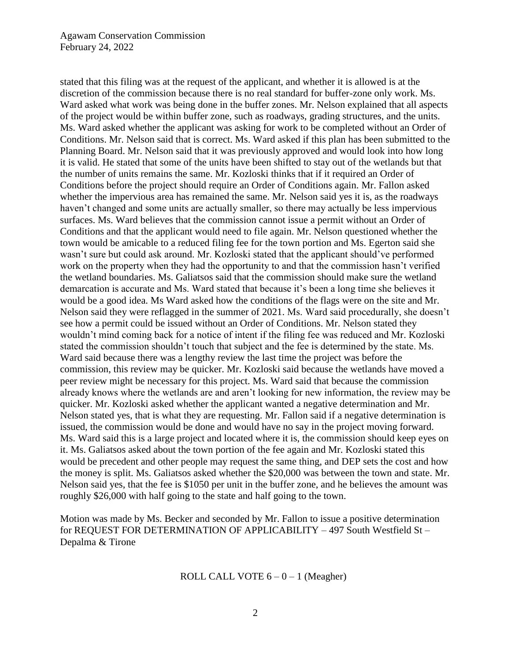stated that this filing was at the request of the applicant, and whether it is allowed is at the discretion of the commission because there is no real standard for buffer-zone only work. Ms. Ward asked what work was being done in the buffer zones. Mr. Nelson explained that all aspects of the project would be within buffer zone, such as roadways, grading structures, and the units. Ms. Ward asked whether the applicant was asking for work to be completed without an Order of Conditions. Mr. Nelson said that is correct. Ms. Ward asked if this plan has been submitted to the Planning Board. Mr. Nelson said that it was previously approved and would look into how long it is valid. He stated that some of the units have been shifted to stay out of the wetlands but that the number of units remains the same. Mr. Kozloski thinks that if it required an Order of Conditions before the project should require an Order of Conditions again. Mr. Fallon asked whether the impervious area has remained the same. Mr. Nelson said yes it is, as the roadways haven't changed and some units are actually smaller, so there may actually be less impervious surfaces. Ms. Ward believes that the commission cannot issue a permit without an Order of Conditions and that the applicant would need to file again. Mr. Nelson questioned whether the town would be amicable to a reduced filing fee for the town portion and Ms. Egerton said she wasn't sure but could ask around. Mr. Kozloski stated that the applicant should've performed work on the property when they had the opportunity to and that the commission hasn't verified the wetland boundaries. Ms. Galiatsos said that the commission should make sure the wetland demarcation is accurate and Ms. Ward stated that because it's been a long time she believes it would be a good idea. Ms Ward asked how the conditions of the flags were on the site and Mr. Nelson said they were reflagged in the summer of 2021. Ms. Ward said procedurally, she doesn't see how a permit could be issued without an Order of Conditions. Mr. Nelson stated they wouldn't mind coming back for a notice of intent if the filing fee was reduced and Mr. Kozloski stated the commission shouldn't touch that subject and the fee is determined by the state. Ms. Ward said because there was a lengthy review the last time the project was before the commission, this review may be quicker. Mr. Kozloski said because the wetlands have moved a peer review might be necessary for this project. Ms. Ward said that because the commission already knows where the wetlands are and aren't looking for new information, the review may be quicker. Mr. Kozloski asked whether the applicant wanted a negative determination and Mr. Nelson stated yes, that is what they are requesting. Mr. Fallon said if a negative determination is issued, the commission would be done and would have no say in the project moving forward. Ms. Ward said this is a large project and located where it is, the commission should keep eyes on it. Ms. Galiatsos asked about the town portion of the fee again and Mr. Kozloski stated this would be precedent and other people may request the same thing, and DEP sets the cost and how the money is split. Ms. Galiatsos asked whether the \$20,000 was between the town and state. Mr. Nelson said yes, that the fee is \$1050 per unit in the buffer zone, and he believes the amount was roughly \$26,000 with half going to the state and half going to the town.

Motion was made by Ms. Becker and seconded by Mr. Fallon to issue a positive determination for REQUEST FOR DETERMINATION OF APPLICABILITY – 497 South Westfield St – Depalma & Tirone

ROLL CALL VOTE  $6 - 0 - 1$  (Meagher)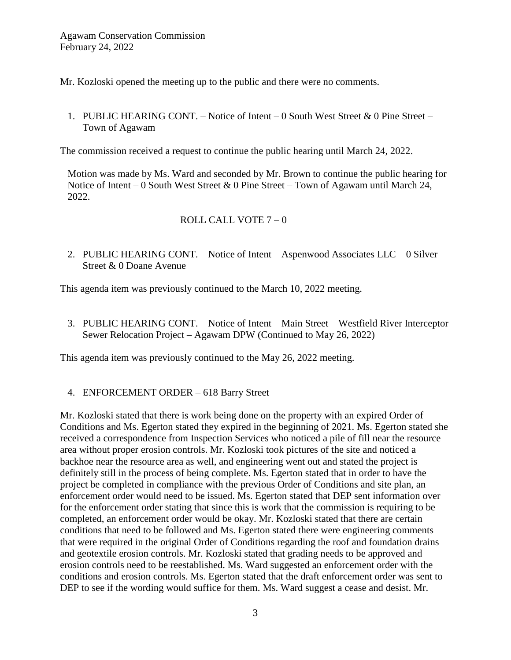Mr. Kozloski opened the meeting up to the public and there were no comments.

1. PUBLIC HEARING CONT. – Notice of Intent – 0 South West Street & 0 Pine Street – Town of Agawam

The commission received a request to continue the public hearing until March 24, 2022.

Motion was made by Ms. Ward and seconded by Mr. Brown to continue the public hearing for Notice of Intent – 0 South West Street & 0 Pine Street – Town of Agawam until March 24, 2022.

# ROLL CALL VOTE 7 – 0

2. PUBLIC HEARING CONT. – Notice of Intent – Aspenwood Associates LLC – 0 Silver Street & 0 Doane Avenue

This agenda item was previously continued to the March 10, 2022 meeting.

3. PUBLIC HEARING CONT. – Notice of Intent – Main Street – Westfield River Interceptor Sewer Relocation Project – Agawam DPW (Continued to May 26, 2022)

This agenda item was previously continued to the May 26, 2022 meeting.

4. ENFORCEMENT ORDER – 618 Barry Street

Mr. Kozloski stated that there is work being done on the property with an expired Order of Conditions and Ms. Egerton stated they expired in the beginning of 2021. Ms. Egerton stated she received a correspondence from Inspection Services who noticed a pile of fill near the resource area without proper erosion controls. Mr. Kozloski took pictures of the site and noticed a backhoe near the resource area as well, and engineering went out and stated the project is definitely still in the process of being complete. Ms. Egerton stated that in order to have the project be completed in compliance with the previous Order of Conditions and site plan, an enforcement order would need to be issued. Ms. Egerton stated that DEP sent information over for the enforcement order stating that since this is work that the commission is requiring to be completed, an enforcement order would be okay. Mr. Kozloski stated that there are certain conditions that need to be followed and Ms. Egerton stated there were engineering comments that were required in the original Order of Conditions regarding the roof and foundation drains and geotextile erosion controls. Mr. Kozloski stated that grading needs to be approved and erosion controls need to be reestablished. Ms. Ward suggested an enforcement order with the conditions and erosion controls. Ms. Egerton stated that the draft enforcement order was sent to DEP to see if the wording would suffice for them. Ms. Ward suggest a cease and desist. Mr.